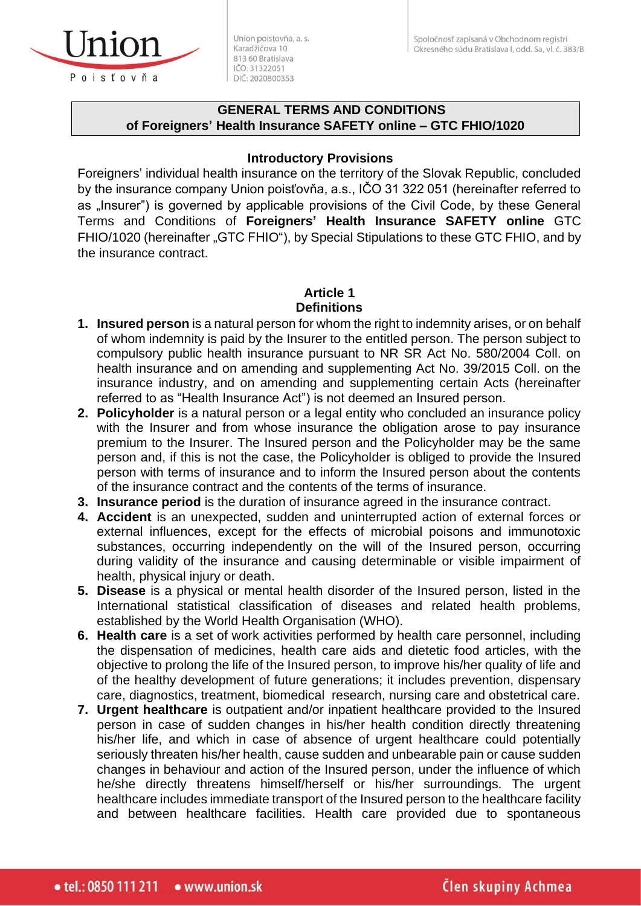

Union poistovňa, a. s. Karadžičova 10 813 60 Bratislava IČO: 31322051 DIČ: 2020800353

#### **GENERAL TERMS AND CONDITIONS of Foreigners' Health Insurance SAFETY online – GTC FHIO/1020**

#### **Introductory Provisions**

Foreigners' individual health insurance on the territory of the Slovak Republic, concluded by the insurance company Union poisťovňa, a.s., IČO 31 322 051 (hereinafter referred to as "Insurer") is governed by applicable provisions of the Civil Code, by these General Terms and Conditions of **Foreigners' Health Insurance SAFETY online** GTC FHIO/1020 (hereinafter "GTC FHIO"), by Special Stipulations to these GTC FHIO, and by the insurance contract.

# **Article 1**

## **Definitions**

- **1. Insured person** is a natural person for whom the right to indemnity arises, or on behalf of whom indemnity is paid by the Insurer to the entitled person. The person subject to compulsory public health insurance pursuant to NR SR Act No. 580/2004 Coll. on health insurance and on amending and supplementing Act No. 39/2015 Coll. on the insurance industry, and on amending and supplementing certain Acts (hereinafter referred to as "Health Insurance Act") is not deemed an Insured person.
- **2. Policyholder** is a natural person or a legal entity who concluded an insurance policy with the Insurer and from whose insurance the obligation arose to pay insurance premium to the Insurer. The Insured person and the Policyholder may be the same person and, if this is not the case, the Policyholder is obliged to provide the Insured person with terms of insurance and to inform the Insured person about the contents of the insurance contract and the contents of the terms of insurance.
- **3. Insurance period** is the duration of insurance agreed in the insurance contract.
- **4. Accident** is an unexpected, sudden and uninterrupted action of external forces or external influences, except for the effects of microbial poisons and immunotoxic substances, occurring independently on the will of the Insured person, occurring during validity of the insurance and causing determinable or visible impairment of health, physical injury or death.
- **5. Disease** is a physical or mental health disorder of the Insured person, listed in the International statistical classification of diseases and related health problems, established by the World Health Organisation (WHO).
- **6. Health care** is a set of work activities performed by health care personnel, including the dispensation of medicines, health care aids and dietetic food articles, with the objective to prolong the life of the Insured person, to improve his/her quality of life and of the healthy development of future generations; it includes prevention, dispensary care, diagnostics, treatment, biomedical research, nursing care and obstetrical care.
- **7. Urgent healthcare** is outpatient and/or inpatient healthcare provided to the Insured person in case of sudden changes in his/her health condition directly threatening his/her life, and which in case of absence of urgent healthcare could potentially seriously threaten his/her health, cause sudden and unbearable pain or cause sudden changes in behaviour and action of the Insured person, under the influence of which he/she directly threatens himself/herself or his/her surroundings. The urgent healthcare includes immediate transport of the Insured person to the healthcare facility and between healthcare facilities. Health care provided due to spontaneous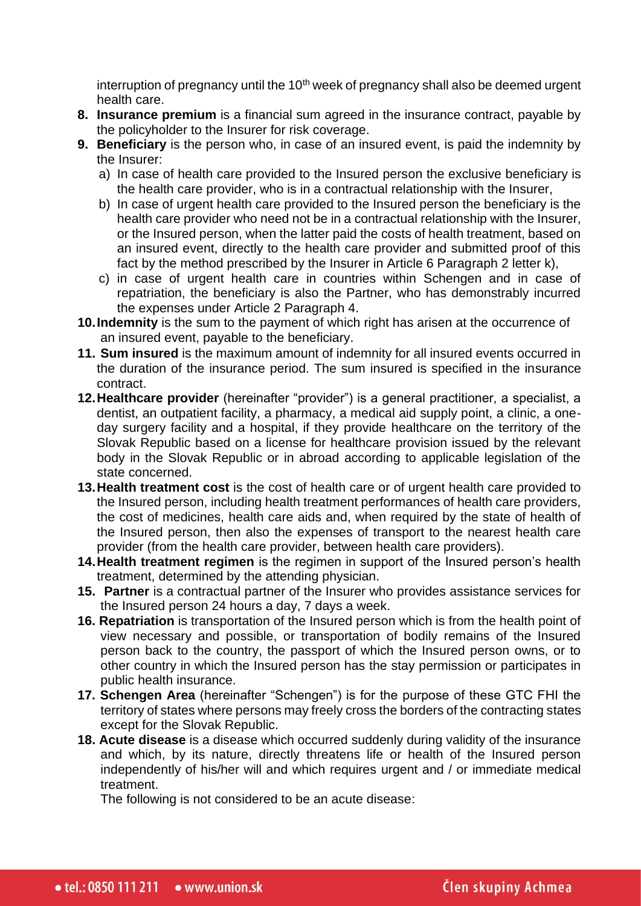interruption of pregnancy until the  $10<sup>th</sup>$  week of pregnancy shall also be deemed urgent health care.

- **8. Insurance premium** is a financial sum agreed in the insurance contract, payable by the policyholder to the Insurer for risk coverage.
- **9. Beneficiary** is the person who, in case of an insured event, is paid the indemnity by the Insurer:
	- a) In case of health care provided to the Insured person the exclusive beneficiary is the health care provider, who is in a contractual relationship with the Insurer,
	- b) In case of urgent health care provided to the Insured person the beneficiary is the health care provider who need not be in a contractual relationship with the Insurer, or the Insured person, when the latter paid the costs of health treatment, based on an insured event, directly to the health care provider and submitted proof of this fact by the method prescribed by the Insurer in Article 6 Paragraph 2 letter k),
	- c) in case of urgent health care in countries within Schengen and in case of repatriation, the beneficiary is also the Partner, who has demonstrably incurred the expenses under Article 2 Paragraph 4.
- **10.Indemnity** is the sum to the payment of which right has arisen at the occurrence of an insured event, payable to the beneficiary.
- **11. Sum insured** is the maximum amount of indemnity for all insured events occurred in the duration of the insurance period. The sum insured is specified in the insurance contract.
- **12.Healthcare provider** (hereinafter "provider") is a general practitioner, a specialist, a dentist, an outpatient facility, a pharmacy, a medical aid supply point, a clinic, a oneday surgery facility and a hospital, if they provide healthcare on the territory of the Slovak Republic based on a license for healthcare provision issued by the relevant body in the Slovak Republic or in abroad according to applicable legislation of the state concerned.
- **13.Health treatment cost** is the cost of health care or of urgent health care provided to the Insured person, including health treatment performances of health care providers, the cost of medicines, health care aids and, when required by the state of health of the Insured person, then also the expenses of transport to the nearest health care provider (from the health care provider, between health care providers).
- **14.Health treatment regimen** is the regimen in support of the Insured person's health treatment, determined by the attending physician.
- **15. Partner** is a contractual partner of the Insurer who provides assistance services for the Insured person 24 hours a day, 7 days a week.
- **16. Repatriation** is transportation of the Insured person which is from the health point of view necessary and possible, or transportation of bodily remains of the Insured person back to the country, the passport of which the Insured person owns, or to other country in which the Insured person has the stay permission or participates in public health insurance.
- **17. Schengen Area** (hereinafter "Schengen") is for the purpose of these GTC FHI the territory of states where persons may freely cross the borders of the contracting states except for the Slovak Republic.
- **18. Acute disease** is a disease which occurred suddenly during validity of the insurance and which, by its nature, directly threatens life or health of the Insured person independently of his/her will and which requires urgent and / or immediate medical treatment.

The following is not considered to be an acute disease: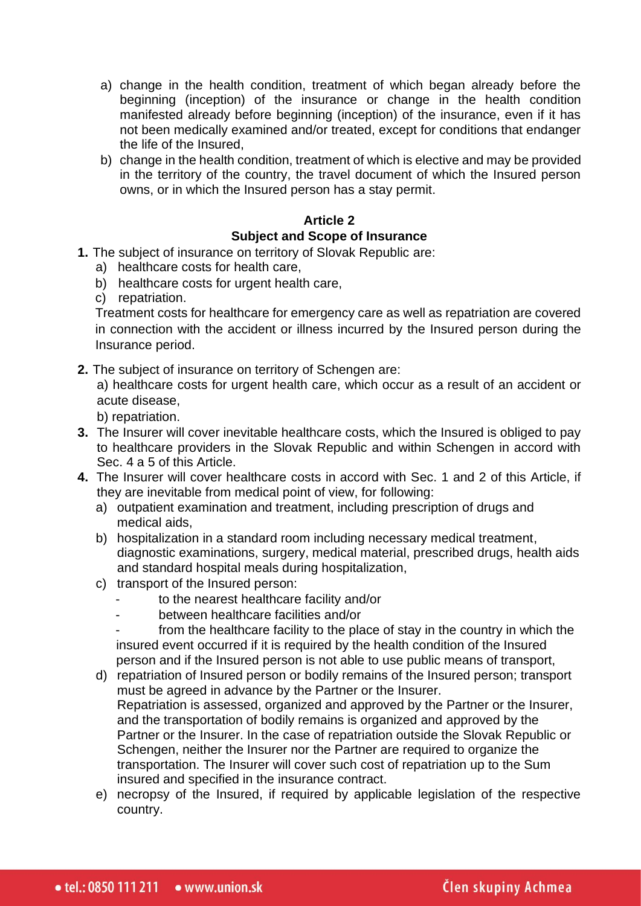- a) change in the health condition, treatment of which began already before the beginning (inception) of the insurance or change in the health condition manifested already before beginning (inception) of the insurance, even if it has not been medically examined and/or treated, except for conditions that endanger the life of the Insured,
- b) change in the health condition, treatment of which is elective and may be provided in the territory of the country, the travel document of which the Insured person owns, or in which the Insured person has a stay permit.

### **Subject and Scope of Insurance**

- **1.** The subject of insurance on territory of Slovak Republic are:
	- a) healthcare costs for health care,
	- b) healthcare costs for urgent health care,
	- c) repatriation.

Treatment costs for healthcare for emergency care as well as repatriation are covered in connection with the accident or illness incurred by the Insured person during the Insurance period.

**2.** The subject of insurance on territory of Schengen are:

a) healthcare costs for urgent health care, which occur as a result of an accident or acute disease,

b) repatriation.

- **3.** The Insurer will cover inevitable healthcare costs, which the Insured is obliged to pay to healthcare providers in the Slovak Republic and within Schengen in accord with Sec. 4 a 5 of this Article.
- **4.** The Insurer will cover healthcare costs in accord with Sec. 1 and 2 of this Article, if they are inevitable from medical point of view, for following:
	- a) outpatient examination and treatment, including prescription of drugs and medical aids,
	- b) hospitalization in a standard room including necessary medical treatment, diagnostic examinations, surgery, medical material, prescribed drugs, health aids and standard hospital meals during hospitalization,
	- c) transport of the Insured person:
		- to the nearest healthcare facility and/or
		- between healthcare facilities and/or

from the healthcare facility to the place of stay in the country in which the insured event occurred if it is required by the health condition of the Insured person and if the Insured person is not able to use public means of transport,

- d) repatriation of Insured person or bodily remains of the Insured person; transport must be agreed in advance by the Partner or the Insurer. Repatriation is assessed, organized and approved by the Partner or the Insurer, and the transportation of bodily remains is organized and approved by the Partner or the Insurer. In the case of repatriation outside the Slovak Republic or Schengen, neither the Insurer nor the Partner are required to organize the transportation. The Insurer will cover such cost of repatriation up to the Sum insured and specified in the insurance contract.
- e) necropsy of the Insured, if required by applicable legislation of the respective country.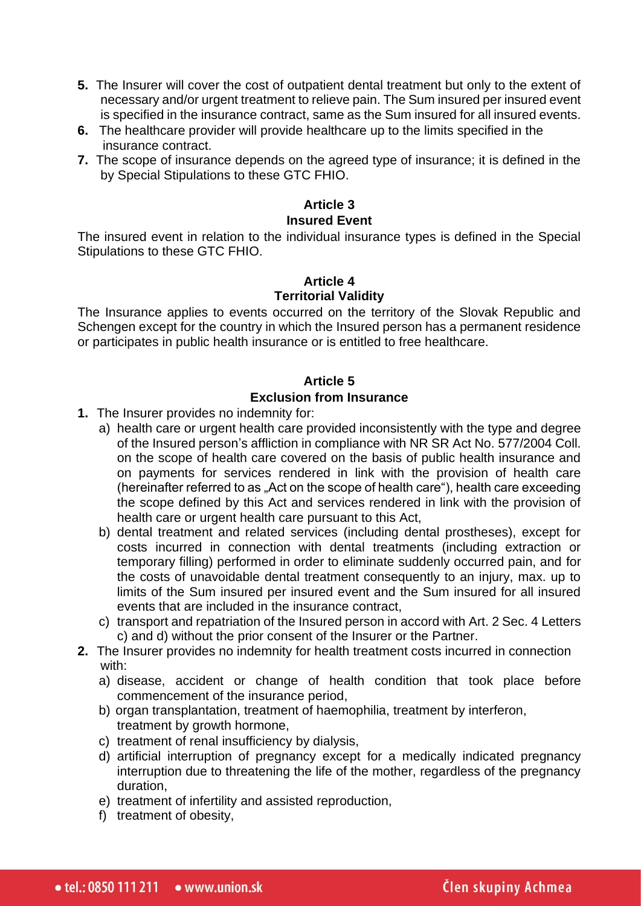- **5.** The Insurer will cover the cost of outpatient dental treatment but only to the extent of necessary and/or urgent treatment to relieve pain. The Sum insured per insured event is specified in the insurance contract, same as the Sum insured for all insured events.
- **6.** The healthcare provider will provide healthcare up to the limits specified in the insurance contract.
- **7.** The scope of insurance depends on the agreed type of insurance; it is defined in the by Special Stipulations to these GTC FHIO.

### **Insured Event**

The insured event in relation to the individual insurance types is defined in the Special Stipulations to these GTC FHIO.

# **Article 4**

### **Territorial Validity**

The Insurance applies to events occurred on the territory of the Slovak Republic and Schengen except for the country in which the Insured person has a permanent residence or participates in public health insurance or is entitled to free healthcare.

### **Article 5**

### **Exclusion from Insurance**

- **1.** The Insurer provides no indemnity for:
	- a) health care or urgent health care provided inconsistently with the type and degree of the Insured person's affliction in compliance with NR SR Act No. 577/2004 Coll. on the scope of health care covered on the basis of public health insurance and on payments for services rendered in link with the provision of health care (hereinafter referred to as "Act on the scope of health care"), health care exceeding the scope defined by this Act and services rendered in link with the provision of health care or urgent health care pursuant to this Act,
	- b) dental treatment and related services (including dental prostheses), except for costs incurred in connection with dental treatments (including extraction or temporary filling) performed in order to eliminate suddenly occurred pain, and for the costs of unavoidable dental treatment consequently to an injury, max. up to limits of the Sum insured per insured event and the Sum insured for all insured events that are included in the insurance contract,
	- c) transport and repatriation of the Insured person in accord with Art. 2 Sec. 4 Letters c) and d) without the prior consent of the Insurer or the Partner.
- **2.** The Insurer provides no indemnity for health treatment costs incurred in connection with:
	- a) disease, accident or change of health condition that took place before commencement of the insurance period,
	- b) organ transplantation, treatment of haemophilia, treatment by interferon, treatment by growth hormone,
	- c) treatment of renal insufficiency by dialysis,
	- d) artificial interruption of pregnancy except for a medically indicated pregnancy interruption due to threatening the life of the mother, regardless of the pregnancy duration,
	- e) treatment of infertility and assisted reproduction,
	- f) treatment of obesity,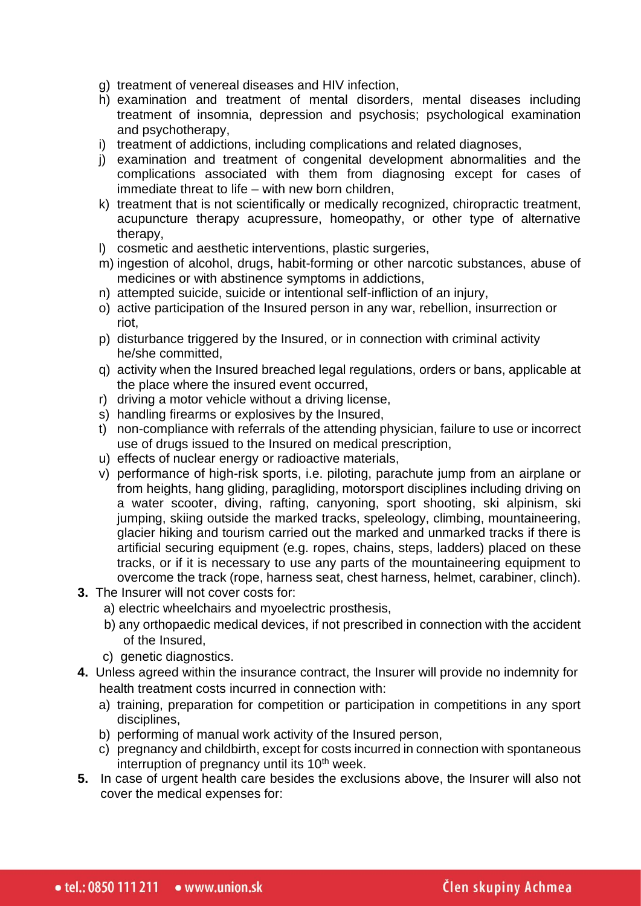- g) treatment of venereal diseases and HIV infection,
- h) examination and treatment of mental disorders, mental diseases including treatment of insomnia, depression and psychosis; psychological examination and psychotherapy,
- i) treatment of addictions, including complications and related diagnoses,
- j) examination and treatment of congenital development abnormalities and the complications associated with them from diagnosing except for cases of immediate threat to life – with new born children,
- k) treatment that is not scientifically or medically recognized, chiropractic treatment, acupuncture therapy acupressure, homeopathy, or other type of alternative therapy,
- l) cosmetic and aesthetic interventions, plastic surgeries,
- m) ingestion of alcohol, drugs, habit-forming or other narcotic substances, abuse of medicines or with abstinence symptoms in addictions,
- n) attempted suicide, suicide or intentional self-infliction of an injury,
- o) active participation of the Insured person in any war, rebellion, insurrection or riot,
- p) disturbance triggered by the Insured, or in connection with criminal activity he/she committed,
- q) activity when the Insured breached legal regulations, orders or bans, applicable at the place where the insured event occurred,
- r) driving a motor vehicle without a driving license,
- s) handling firearms or explosives by the Insured,
- t) non-compliance with referrals of the attending physician, failure to use or incorrect use of drugs issued to the Insured on medical prescription,
- u) effects of nuclear energy or radioactive materials,
- v) performance of high-risk sports, i.e. piloting, parachute jump from an airplane or from heights, hang gliding, paragliding, motorsport disciplines including driving on a water scooter, diving, rafting, canyoning, sport shooting, ski alpinism, ski jumping, skiing outside the marked tracks, speleology, climbing, mountaineering, glacier hiking and tourism carried out the marked and unmarked tracks if there is artificial securing equipment (e.g. ropes, chains, steps, ladders) placed on these tracks, or if it is necessary to use any parts of the mountaineering equipment to overcome the track (rope, harness seat, chest harness, helmet, carabiner, clinch).
- **3.** The Insurer will not cover costs for:
	- a) electric wheelchairs and myoelectric prosthesis,
	- b) any orthopaedic medical devices, if not prescribed in connection with the accident of the Insured,
	- c) genetic diagnostics.
- **4.** Unless agreed within the insurance contract, the Insurer will provide no indemnity for health treatment costs incurred in connection with:
	- a) training, preparation for competition or participation in competitions in any sport disciplines,
	- b) performing of manual work activity of the Insured person,
	- c) pregnancy and childbirth, except for costs incurred in connection with spontaneous interruption of pregnancy until its 10<sup>th</sup> week.
- **5.** In case of urgent health care besides the exclusions above, the Insurer will also not cover the medical expenses for: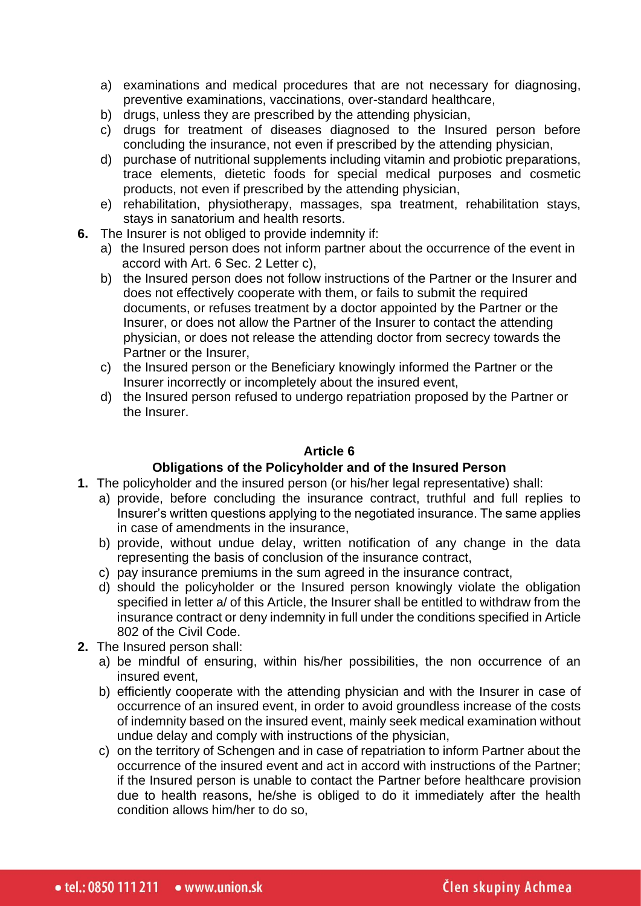- a) examinations and medical procedures that are not necessary for diagnosing, preventive examinations, vaccinations, over-standard healthcare,
- b) drugs, unless they are prescribed by the attending physician,
- c) drugs for treatment of diseases diagnosed to the Insured person before concluding the insurance, not even if prescribed by the attending physician,
- d) purchase of nutritional supplements including vitamin and probiotic preparations, trace elements, dietetic foods for special medical purposes and cosmetic products, not even if prescribed by the attending physician,
- e) rehabilitation, physiotherapy, massages, spa treatment, rehabilitation stays, stays in sanatorium and health resorts.
- **6.** The Insurer is not obliged to provide indemnity if:
	- a) the Insured person does not inform partner about the occurrence of the event in accord with Art. 6 Sec. 2 Letter c),
	- b) the Insured person does not follow instructions of the Partner or the Insurer and does not effectively cooperate with them, or fails to submit the required documents, or refuses treatment by a doctor appointed by the Partner or the Insurer, or does not allow the Partner of the Insurer to contact the attending physician, or does not release the attending doctor from secrecy towards the Partner or the Insurer,
	- c) the Insured person or the Beneficiary knowingly informed the Partner or the Insurer incorrectly or incompletely about the insured event,
	- d) the Insured person refused to undergo repatriation proposed by the Partner or the Insurer.

## **Obligations of the Policyholder and of the Insured Person**

- **1.** The policyholder and the insured person (or his/her legal representative) shall:
	- a) provide, before concluding the insurance contract, truthful and full replies to Insurer's written questions applying to the negotiated insurance. The same applies in case of amendments in the insurance,
	- b) provide, without undue delay, written notification of any change in the data representing the basis of conclusion of the insurance contract,
	- c) pay insurance premiums in the sum agreed in the insurance contract,
	- d) should the policyholder or the Insured person knowingly violate the obligation specified in letter a/ of this Article, the Insurer shall be entitled to withdraw from the insurance contract or deny indemnity in full under the conditions specified in Article 802 of the Civil Code.
- **2.** The Insured person shall:
	- a) be mindful of ensuring, within his/her possibilities, the non occurrence of an insured event,
	- b) efficiently cooperate with the attending physician and with the Insurer in case of occurrence of an insured event, in order to avoid groundless increase of the costs of indemnity based on the insured event, mainly seek medical examination without undue delay and comply with instructions of the physician,
	- c) on the territory of Schengen and in case of repatriation to inform Partner about the occurrence of the insured event and act in accord with instructions of the Partner; if the Insured person is unable to contact the Partner before healthcare provision due to health reasons, he/she is obliged to do it immediately after the health condition allows him/her to do so,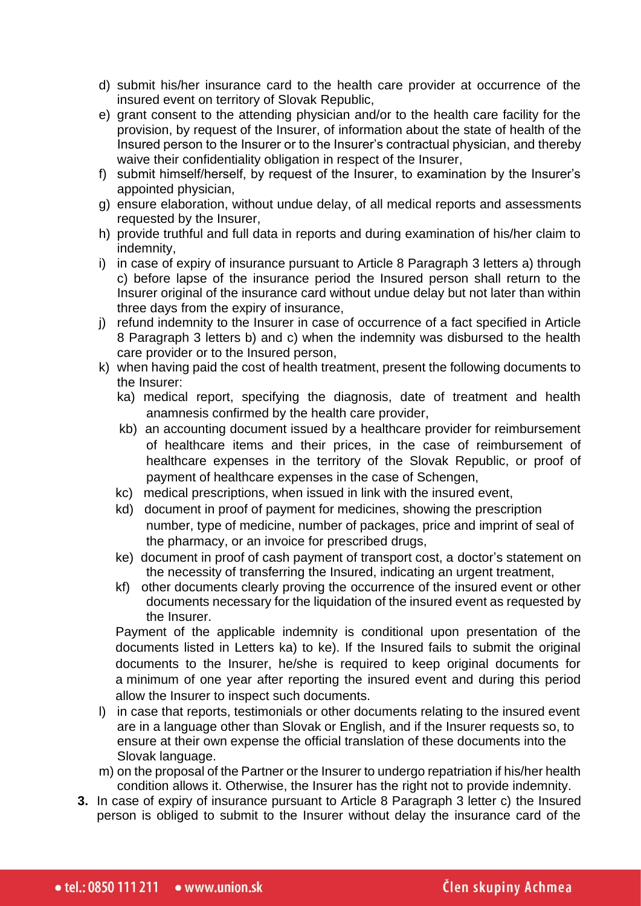- d) submit his/her insurance card to the health care provider at occurrence of the insured event on territory of Slovak Republic,
- e) grant consent to the attending physician and/or to the health care facility for the provision, by request of the Insurer, of information about the state of health of the Insured person to the Insurer or to the Insurer's contractual physician, and thereby waive their confidentiality obligation in respect of the Insurer,
- f) submit himself/herself, by request of the Insurer, to examination by the Insurer's appointed physician,
- g) ensure elaboration, without undue delay, of all medical reports and assessments requested by the Insurer,
- h) provide truthful and full data in reports and during examination of his/her claim to indemnity,
- i) in case of expiry of insurance pursuant to Article 8 Paragraph 3 letters a) through c) before lapse of the insurance period the Insured person shall return to the Insurer original of the insurance card without undue delay but not later than within three days from the expiry of insurance,
- j) refund indemnity to the Insurer in case of occurrence of a fact specified in Article 8 Paragraph 3 letters b) and c) when the indemnity was disbursed to the health care provider or to the Insured person,
- k) when having paid the cost of health treatment, present the following documents to the Insurer:
	- ka) medical report, specifying the diagnosis, date of treatment and health anamnesis confirmed by the health care provider,
	- kb) an accounting document issued by a healthcare provider for reimbursement of healthcare items and their prices, in the case of reimbursement of healthcare expenses in the territory of the Slovak Republic, or proof of payment of healthcare expenses in the case of Schengen,
	- kc) medical prescriptions, when issued in link with the insured event,
	- kd) document in proof of payment for medicines, showing the prescription number, type of medicine, number of packages, price and imprint of seal of the pharmacy, or an invoice for prescribed drugs,
	- ke) document in proof of cash payment of transport cost, a doctor's statement on the necessity of transferring the Insured, indicating an urgent treatment,
	- kf) other documents clearly proving the occurrence of the insured event or other documents necessary for the liquidation of the insured event as requested by the Insurer.

Payment of the applicable indemnity is conditional upon presentation of the documents listed in Letters ka) to ke). If the Insured fails to submit the original documents to the Insurer, he/she is required to keep original documents for a minimum of one year after reporting the insured event and during this period allow the Insurer to inspect such documents.

- l) in case that reports, testimonials or other documents relating to the insured event are in a language other than Slovak or English, and if the Insurer requests so, to ensure at their own expense the official translation of these documents into the Slovak language.
- m) on the proposal of the Partner or the Insurer to undergo repatriation if his/her health condition allows it. Otherwise, the Insurer has the right not to provide indemnity.
- **3.** In case of expiry of insurance pursuant to Article 8 Paragraph 3 letter c) the Insured person is obliged to submit to the Insurer without delay the insurance card of the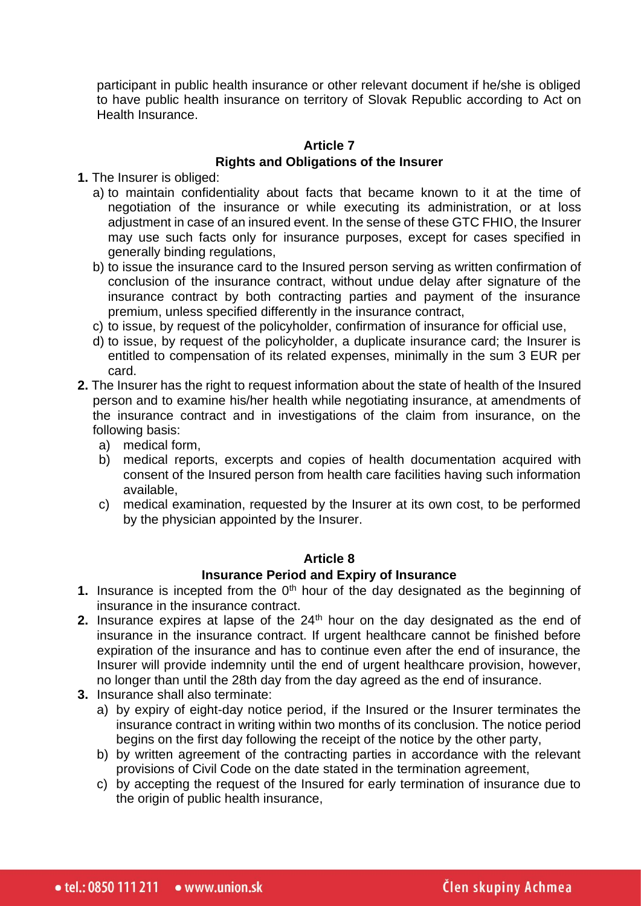participant in public health insurance or other relevant document if he/she is obliged to have public health insurance on territory of Slovak Republic according to Act on Health Insurance.

## **Article 7 Rights and Obligations of the Insurer**

**1.** The Insurer is obliged:

- a) to maintain confidentiality about facts that became known to it at the time of negotiation of the insurance or while executing its administration, or at loss adjustment in case of an insured event. In the sense of these GTC FHIO, the Insurer may use such facts only for insurance purposes, except for cases specified in generally binding regulations,
- b) to issue the insurance card to the Insured person serving as written confirmation of conclusion of the insurance contract, without undue delay after signature of the insurance contract by both contracting parties and payment of the insurance premium, unless specified differently in the insurance contract,
- c) to issue, by request of the policyholder, confirmation of insurance for official use,
- d) to issue, by request of the policyholder, a duplicate insurance card; the Insurer is entitled to compensation of its related expenses, minimally in the sum 3 EUR per card.
- **2.** The Insurer has the right to request information about the state of health of the Insured person and to examine his/her health while negotiating insurance, at amendments of the insurance contract and in investigations of the claim from insurance, on the following basis:
	- a) medical form,
	- b) medical reports, excerpts and copies of health documentation acquired with consent of the Insured person from health care facilities having such information available,
	- c) medical examination, requested by the Insurer at its own cost, to be performed by the physician appointed by the Insurer.

#### **Article 8**

#### **Insurance Period and Expiry of Insurance**

- **1.** Insurance is incepted from the 0<sup>th</sup> hour of the day designated as the beginning of insurance in the insurance contract.
- **2.** Insurance expires at lapse of the  $24<sup>th</sup>$  hour on the day designated as the end of insurance in the insurance contract. If urgent healthcare cannot be finished before expiration of the insurance and has to continue even after the end of insurance, the Insurer will provide indemnity until the end of urgent healthcare provision, however, no longer than until the 28th day from the day agreed as the end of insurance.
- **3.** Insurance shall also terminate:
	- a) by expiry of eight-day notice period, if the Insured or the Insurer terminates the insurance contract in writing within two months of its conclusion. The notice period begins on the first day following the receipt of the notice by the other party,
	- b) by written agreement of the contracting parties in accordance with the relevant provisions of Civil Code on the date stated in the termination agreement,
	- c) by accepting the request of the Insured for early termination of insurance due to the origin of public health insurance,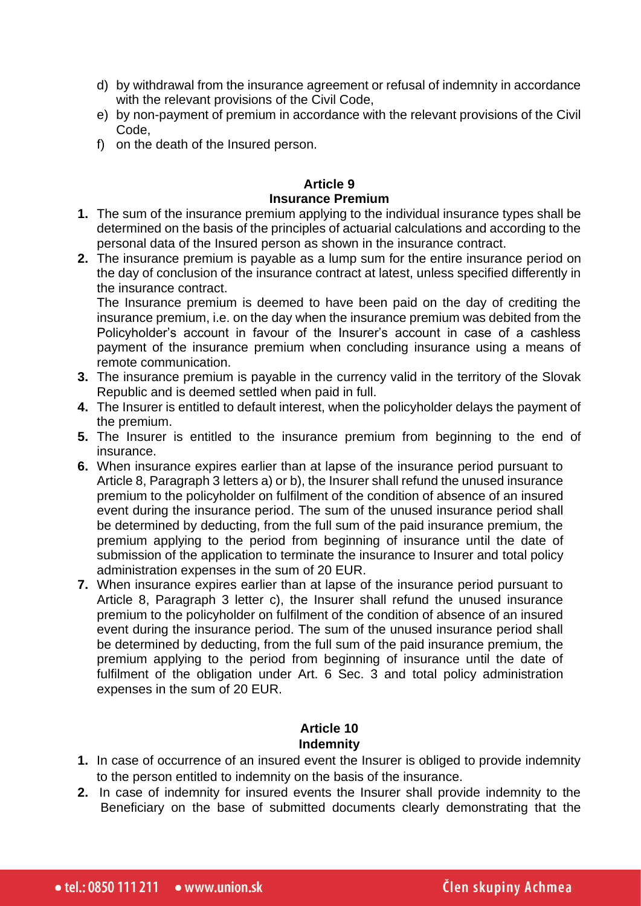- d) by withdrawal from the insurance agreement or refusal of indemnity in accordance with the relevant provisions of the Civil Code,
- e) by non-payment of premium in accordance with the relevant provisions of the Civil Code,
- f) on the death of the Insured person.

#### **Article 9 Insurance Premium**

- **1.** The sum of the insurance premium applying to the individual insurance types shall be determined on the basis of the principles of actuarial calculations and according to the personal data of the Insured person as shown in the insurance contract.
- **2.** The insurance premium is payable as a lump sum for the entire insurance period on the day of conclusion of the insurance contract at latest, unless specified differently in the insurance contract.

The Insurance premium is deemed to have been paid on the day of crediting the insurance premium, i.e. on the day when the insurance premium was debited from the Policyholder's account in favour of the Insurer's account in case of a cashless payment of the insurance premium when concluding insurance using a means of remote communication.

- **3.** The insurance premium is payable in the currency valid in the territory of the Slovak Republic and is deemed settled when paid in full.
- **4.** The Insurer is entitled to default interest, when the policyholder delays the payment of the premium.
- **5.** The Insurer is entitled to the insurance premium from beginning to the end of insurance.
- **6.** When insurance expires earlier than at lapse of the insurance period pursuant to Article 8, Paragraph 3 letters a) or b), the Insurer shall refund the unused insurance premium to the policyholder on fulfilment of the condition of absence of an insured event during the insurance period. The sum of the unused insurance period shall be determined by deducting, from the full sum of the paid insurance premium, the premium applying to the period from beginning of insurance until the date of submission of the application to terminate the insurance to Insurer and total policy administration expenses in the sum of 20 EUR.
- **7.** When insurance expires earlier than at lapse of the insurance period pursuant to Article 8, Paragraph 3 letter c), the Insurer shall refund the unused insurance premium to the policyholder on fulfilment of the condition of absence of an insured event during the insurance period. The sum of the unused insurance period shall be determined by deducting, from the full sum of the paid insurance premium, the premium applying to the period from beginning of insurance until the date of fulfilment of the obligation under Art. 6 Sec. 3 and total policy administration expenses in the sum of 20 EUR.

# **Article 10 Indemnity**

- **1.** In case of occurrence of an insured event the Insurer is obliged to provide indemnity to the person entitled to indemnity on the basis of the insurance.
- **2.** In case of indemnity for insured events the Insurer shall provide indemnity to the Beneficiary on the base of submitted documents clearly demonstrating that the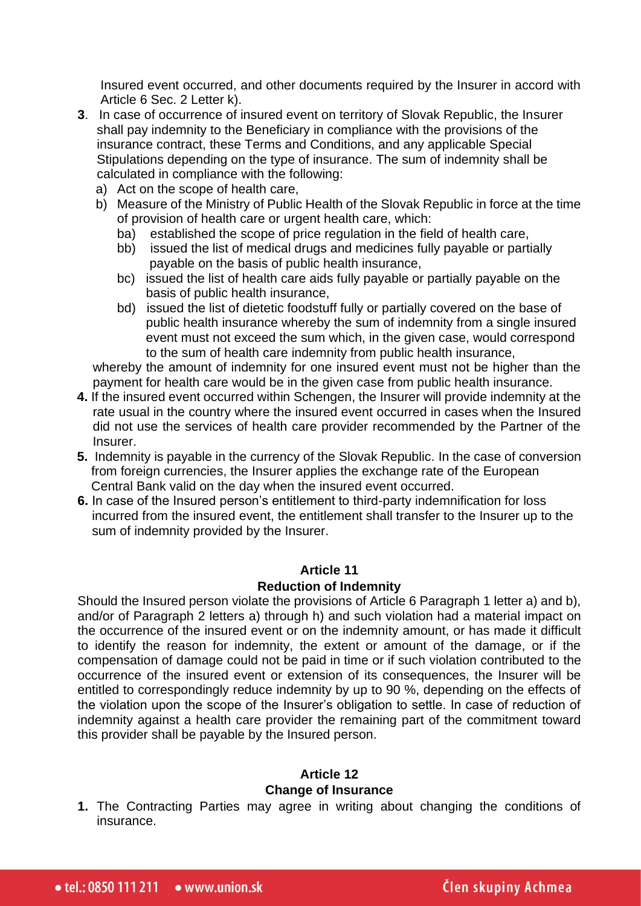Insured event occurred, and other documents required by the Insurer in accord with Article 6 Sec. 2 Letter k).

- **3**. In case of occurrence of insured event on territory of Slovak Republic, the Insurer shall pay indemnity to the Beneficiary in compliance with the provisions of the insurance contract, these Terms and Conditions, and any applicable Special Stipulations depending on the type of insurance. The sum of indemnity shall be calculated in compliance with the following:
	- a) Act on the scope of health care,
	- b) Measure of the Ministry of Public Health of the Slovak Republic in force at the time of provision of health care or urgent health care, which:
		- ba) established the scope of price regulation in the field of health care,
		- bb) issued the list of medical drugs and medicines fully payable or partially payable on the basis of public health insurance,
		- bc) issued the list of health care aids fully payable or partially payable on the basis of public health insurance,
		- bd) issued the list of dietetic foodstuff fully or partially covered on the base of public health insurance whereby the sum of indemnity from a single insured event must not exceed the sum which, in the given case, would correspond to the sum of health care indemnity from public health insurance,

whereby the amount of indemnity for one insured event must not be higher than the payment for health care would be in the given case from public health insurance.

- **4.** If the insured event occurred within Schengen, the Insurer will provide indemnity at the rate usual in the country where the insured event occurred in cases when the Insured did not use the services of health care provider recommended by the Partner of the Insurer.
- **5.** Indemnity is payable in the currency of the Slovak Republic. In the case of conversion from foreign currencies, the Insurer applies the exchange rate of the European Central Bank valid on the day when the insured event occurred.
- **6.** In case of the Insured person's entitlement to third-party indemnification for loss incurred from the insured event, the entitlement shall transfer to the Insurer up to the sum of indemnity provided by the Insurer.

### **Article 11**

### **Reduction of Indemnity**

Should the Insured person violate the provisions of Article 6 Paragraph 1 letter a) and b), and/or of Paragraph 2 letters a) through h) and such violation had a material impact on the occurrence of the insured event or on the indemnity amount, or has made it difficult to identify the reason for indemnity, the extent or amount of the damage, or if the compensation of damage could not be paid in time or if such violation contributed to the occurrence of the insured event or extension of its consequences, the Insurer will be entitled to correspondingly reduce indemnity by up to 90 %, depending on the effects of the violation upon the scope of the Insurer's obligation to settle. In case of reduction of indemnity against a health care provider the remaining part of the commitment toward this provider shall be payable by the Insured person.

### **Article 12 Change of Insurance**

**1.** The Contracting Parties may agree in writing about changing the conditions of insurance.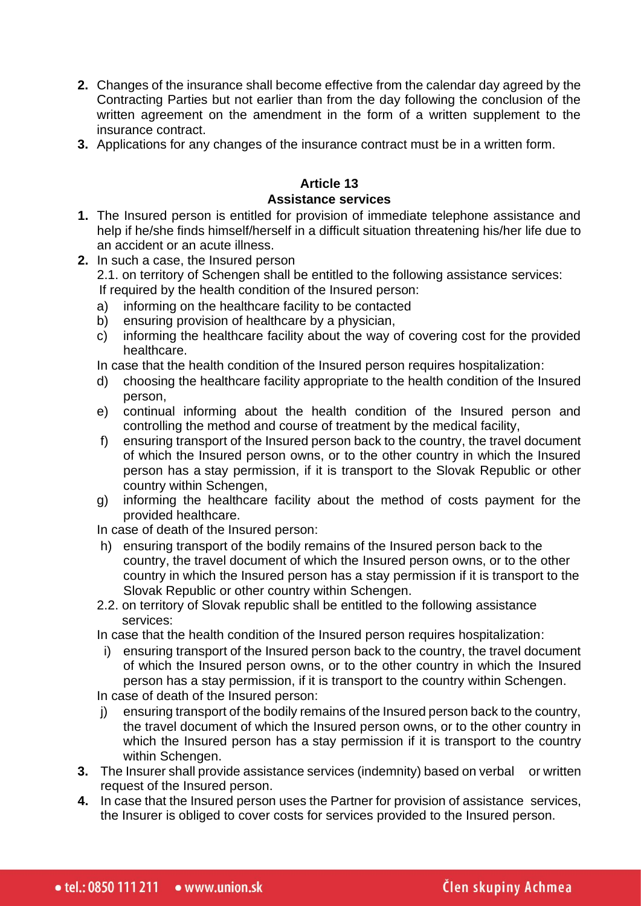- **2.** Changes of the insurance shall become effective from the calendar day agreed by the Contracting Parties but not earlier than from the day following the conclusion of the written agreement on the amendment in the form of a written supplement to the insurance contract.
- **3.** Applications for any changes of the insurance contract must be in a written form.

#### **Assistance services**

- **1.** The Insured person is entitled for provision of immediate telephone assistance and help if he/she finds himself/herself in a difficult situation threatening his/her life due to an accident or an acute illness.
- **2.** In such a case, the Insured person

2.1. on territory of Schengen shall be entitled to the following assistance services: If required by the health condition of the Insured person:

- a) informing on the healthcare facility to be contacted
- b) ensuring provision of healthcare by a physician,
- c) informing the healthcare facility about the way of covering cost for the provided healthcare.

In case that the health condition of the Insured person requires hospitalization:

- d) choosing the healthcare facility appropriate to the health condition of the Insured person,
- e) continual informing about the health condition of the Insured person and controlling the method and course of treatment by the medical facility,
- f) ensuring transport of the Insured person back to the country, the travel document of which the Insured person owns, or to the other country in which the Insured person has a stay permission, if it is transport to the Slovak Republic or other country within Schengen,
- g) informing the healthcare facility about the method of costs payment for the provided healthcare.

In case of death of the Insured person:

- h) ensuring transport of the bodily remains of the Insured person back to the country, the travel document of which the Insured person owns, or to the other country in which the Insured person has a stay permission if it is transport to the Slovak Republic or other country within Schengen.
- 2.2. on territory of Slovak republic shall be entitled to the following assistance services:

In case that the health condition of the Insured person requires hospitalization:

i) ensuring transport of the Insured person back to the country, the travel document of which the Insured person owns, or to the other country in which the Insured person has a stay permission, if it is transport to the country within Schengen.

In case of death of the Insured person:

- j) ensuring transport of the bodily remains of the Insured person back to the country, the travel document of which the Insured person owns, or to the other country in which the Insured person has a stay permission if it is transport to the country within Schengen.
- **3.** The Insurer shall provide assistance services (indemnity) based on verbal or written request of the Insured person.
- **4.** In case that the Insured person uses the Partner for provision of assistance services, the Insurer is obliged to cover costs for services provided to the Insured person.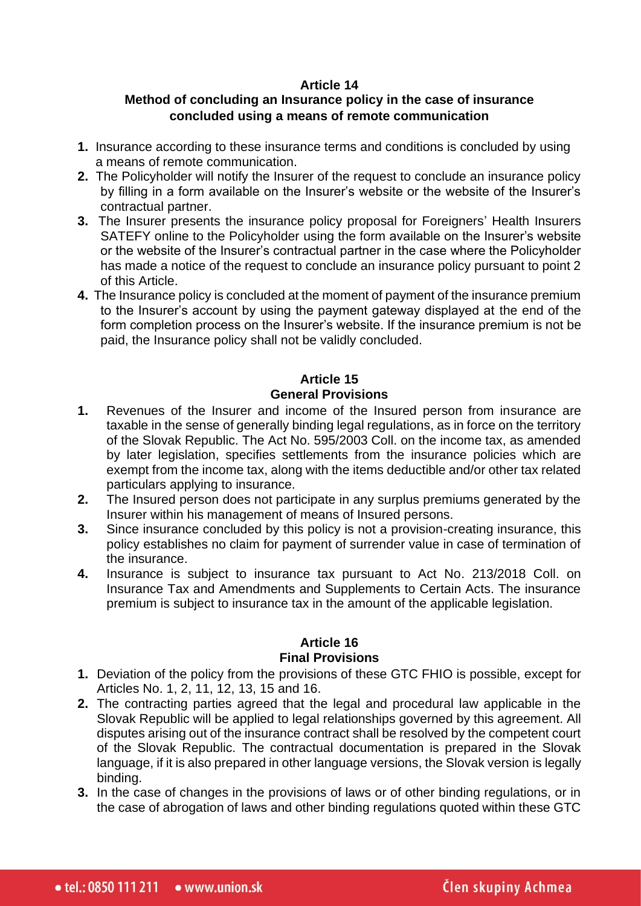## **Method of concluding an Insurance policy in the case of insurance concluded using a means of remote communication**

- **1.** Insurance according to these insurance terms and conditions is concluded by using a means of remote communication.
- **2.** The Policyholder will notify the Insurer of the request to conclude an insurance policy by filling in a form available on the Insurer's website or the website of the Insurer's contractual partner.
- **3.** The Insurer presents the insurance policy proposal for Foreigners' Health Insurers SATEFY online to the Policyholder using the form available on the Insurer's website or the website of the Insurer's contractual partner in the case where the Policyholder has made a notice of the request to conclude an insurance policy pursuant to point 2 of this Article.
- **4.** The Insurance policy is concluded at the moment of payment of the insurance premium to the Insurer's account by using the payment gateway displayed at the end of the form completion process on the Insurer's website. If the insurance premium is not be paid, the Insurance policy shall not be validly concluded.

# **Article 15 General Provisions**

- **1.** Revenues of the Insurer and income of the Insured person from insurance are taxable in the sense of generally binding legal regulations, as in force on the territory of the Slovak Republic. The Act No. 595/2003 Coll. on the income tax, as amended by later legislation, specifies settlements from the insurance policies which are exempt from the income tax, along with the items deductible and/or other tax related particulars applying to insurance.
- **2.** The Insured person does not participate in any surplus premiums generated by the Insurer within his management of means of Insured persons.
- **3.** Since insurance concluded by this policy is not a provision-creating insurance, this policy establishes no claim for payment of surrender value in case of termination of the insurance.
- **4.** Insurance is subject to insurance tax pursuant to Act No. 213/2018 Coll. on Insurance Tax and Amendments and Supplements to Certain Acts. The insurance premium is subject to insurance tax in the amount of the applicable legislation.

#### **Article 16 Final Provisions**

- **1.** Deviation of the policy from the provisions of these GTC FHIO is possible, except for Articles No. 1, 2, 11, 12, 13, 15 and 16.
- **2.** The contracting parties agreed that the legal and procedural law applicable in the Slovak Republic will be applied to legal relationships governed by this agreement. All disputes arising out of the insurance contract shall be resolved by the competent court of the Slovak Republic. The contractual documentation is prepared in the Slovak language, if it is also prepared in other language versions, the Slovak version is legally binding.
- **3.** In the case of changes in the provisions of laws or of other binding regulations, or in the case of abrogation of laws and other binding regulations quoted within these GTC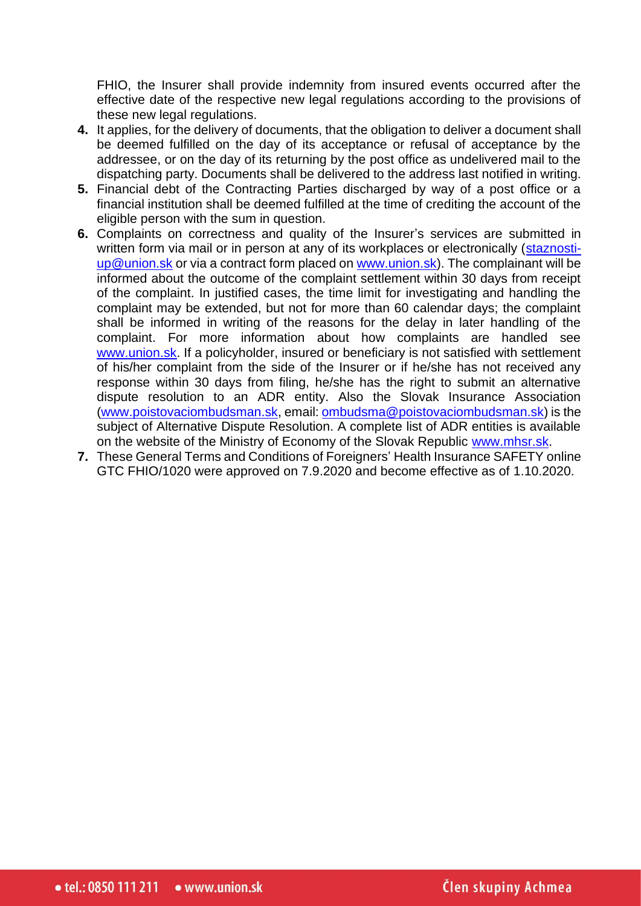FHIO, the Insurer shall provide indemnity from insured events occurred after the effective date of the respective new legal regulations according to the provisions of these new legal regulations.

- **4.** It applies, for the delivery of documents, that the obligation to deliver a document shall be deemed fulfilled on the day of its acceptance or refusal of acceptance by the addressee, or on the day of its returning by the post office as undelivered mail to the dispatching party. Documents shall be delivered to the address last notified in writing.
- **5.** Financial debt of the Contracting Parties discharged by way of a post office or a financial institution shall be deemed fulfilled at the time of crediting the account of the eligible person with the sum in question.
- **6.** Complaints on correctness and quality of the Insurer's services are submitted in written form via mail or in person at any of its workplaces or electronically [\(staznosti](mailto:staznosti-up@union.sk)[up@union.sk](mailto:staznosti-up@union.sk) or via a contract form placed on [www.union.sk\)](http://www.union.sk/). The complainant will be informed about the outcome of the complaint settlement within 30 days from receipt of the complaint. In justified cases, the time limit for investigating and handling the complaint may be extended, but not for more than 60 calendar days; the complaint shall be informed in writing of the reasons for the delay in later handling of the complaint. For more information about how complaints are handled see [www.union.sk.](http://www.union.sk/) If a policyholder, insured or beneficiary is not satisfied with settlement of his/her complaint from the side of the Insurer or if he/she has not received any response within 30 days from filing, he/she has the right to submit an alternative dispute resolution to an ADR entity. Also the Slovak Insurance Association [\(www.poistovaciombudsman.sk,](http://www.poistovaciombudsman.sk/) email: [ombudsma@poistovaciombudsman.sk\)](mailto:ombudsma@poistovaciombudsman.sk) is the subject of Alternative Dispute Resolution. A complete list of ADR entities is available on the website of the Ministry of Economy of the Slovak Republic [www.mhsr.sk.](http://www.mhsr.sk/)
- **7.** These General Terms and Conditions of Foreigners' Health Insurance SAFETY online GTC FHIO/1020 were approved on 7.9.2020 and become effective as of 1.10.2020.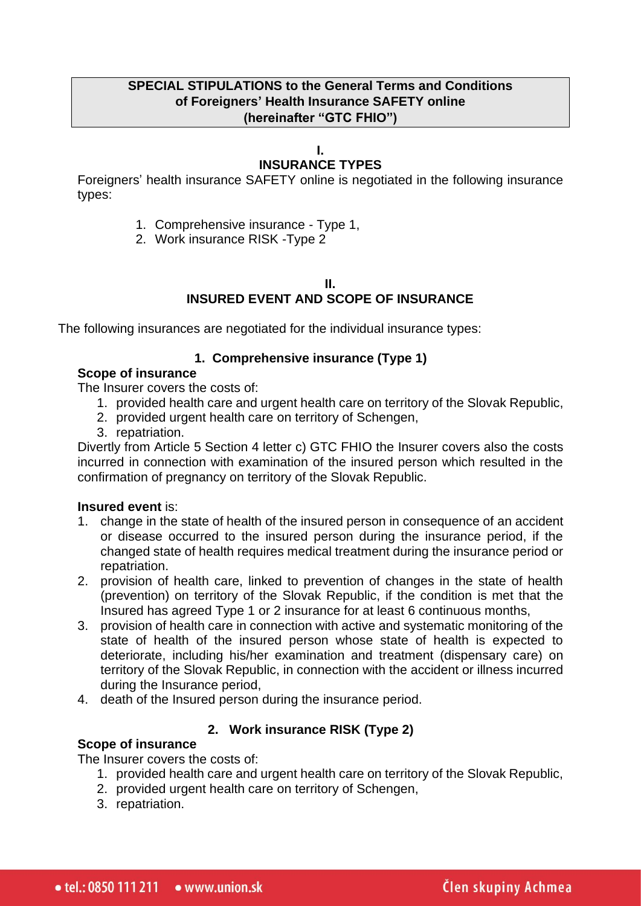## **SPECIAL STIPULATIONS to the General Terms and Conditions of Foreigners' Health Insurance SAFETY online (hereinafter "GTC FHIO")**

# **I.**

# **INSURANCE TYPES**

Foreigners' health insurance SAFETY online is negotiated in the following insurance types:

- 1. Comprehensive insurance Type 1,
- 2. Work insurance RISK -Type 2

## **II. INSURED EVENT AND SCOPE OF INSURANCE**

The following insurances are negotiated for the individual insurance types:

### **1. Comprehensive insurance (Type 1)**

## **Scope of insurance**

The Insurer covers the costs of:

- 1. provided health care and urgent health care on territory of the Slovak Republic,
- 2. provided urgent health care on territory of Schengen,
- 3. repatriation.

Divertly from Article 5 Section 4 letter c) GTC FHIO the Insurer covers also the costs incurred in connection with examination of the insured person which resulted in the confirmation of pregnancy on territory of the Slovak Republic.

### **Insured event** is:

- 1. change in the state of health of the insured person in consequence of an accident or disease occurred to the insured person during the insurance period, if the changed state of health requires medical treatment during the insurance period or repatriation.
- 2. provision of health care, linked to prevention of changes in the state of health (prevention) on territory of the Slovak Republic, if the condition is met that the Insured has agreed Type 1 or 2 insurance for at least 6 continuous months,
- 3. provision of health care in connection with active and systematic monitoring of the state of health of the insured person whose state of health is expected to deteriorate, including his/her examination and treatment (dispensary care) on territory of the Slovak Republic, in connection with the accident or illness incurred during the Insurance period,
- 4. death of the Insured person during the insurance period.

### **2. Work insurance RISK (Type 2)**

### **Scope of insurance**

The Insurer covers the costs of:

- 1. provided health care and urgent health care on territory of the Slovak Republic,
- 2. provided urgent health care on territory of Schengen,
- 3. repatriation.